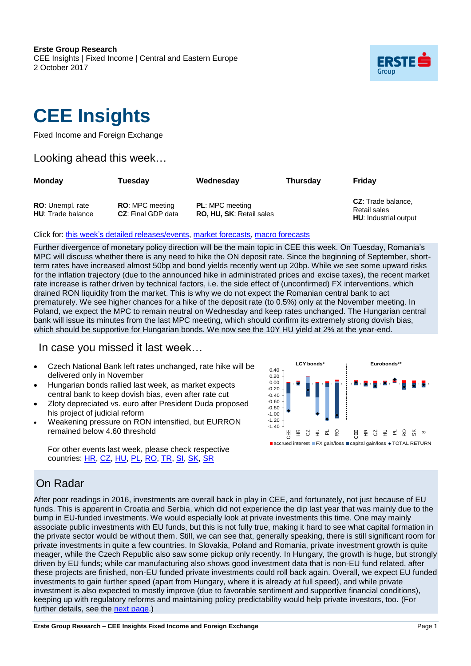**Erste Group Research** CEE Insights | Fixed Income | Central and Eastern Europe 2 October 2017



# **CEE Insights**

Fixed Income and Foreign Exchange

### Looking ahead this week…

| <b>Monday</b>                                       | Tuesdav                                             | Wednesday                                                 | <b>Thursday</b> | Fridav                                                             |  |
|-----------------------------------------------------|-----------------------------------------------------|-----------------------------------------------------------|-----------------|--------------------------------------------------------------------|--|
| <b>RO:</b> Unempl. rate<br><b>HU:</b> Trade balance | <b>RO:</b> MPC meeting<br><b>CZ:</b> Final GDP data | <b>PL:</b> MPC meeting<br><b>RO, HU, SK: Retail sales</b> |                 | <b>CZ:</b> Trade balance,<br>Retail sales<br>HU: Industrial output |  |

### Click for: this week's detailed [releases/events,](#page-1-0) market forecasts, macro forecasts

Further divergence of monetary policy direction will be the main topic in CEE this week. On Tuesday, Romania's MPC will discuss whether there is any need to hike the ON deposit rate. Since the beginning of September, shortterm rates have increased almost 50bp and bond yields recently went up 20bp. While we see some upward risks for the inflation trajectory (due to the announced hike in administrated prices and excise taxes), the recent market rate increase is rather driven by technical factors, i.e. the side effect of (unconfirmed) FX interventions, which drained RON liquidity from the market. This is why we do not expect the Romanian central bank to act prematurely. We see higher chances for a hike of the deposit rate (to 0.5%) only at the November meeting. In Poland, we expect the MPC to remain neutral on Wednesday and keep rates unchanged. The Hungarian central bank will issue its minutes from the last MPC meeting, which should confirm its extremely strong dovish bias, which should be supportive for Hungarian bonds. We now see the 10Y HU yield at 2% at the year-end.

### In case you missed it last week…

- Czech National Bank left rates unchanged, rate hike will be delivered only in November
- Hungarian bonds rallied last week, as market expects central bank to keep dovish bias, even after rate cut
- Zloty depreciated vs. euro after President Duda proposed his project of judicial reform
- Weakening pressure on RON intensified, but EURRON remained below 4.60 threshold

For other events last week, please check respective countries: [HR,](#page-4-0) CZ, [HU,](#page-4-1) [PL,](#page-5-0) [RO,](#page-5-0) [TR,](#page-5-1) [SI,](#page-6-0) [SK,](#page-5-1) SR



### On Radar

After poor readings in 2016, investments are overall back in play in CEE, and fortunately, not just because of EU funds. This is apparent in Croatia and Serbia, which did not experience the dip last year that was mainly due to the bump in EU-funded investments. We would especially look at private investments this time. One may mainly associate public investments with EU funds, but this is not fully true, making it hard to see what capital formation in the private sector would be without them. Still, we can see that, generally speaking, there is still significant room for private investments in quite a few countries. In Slovakia, Poland and Romania, private investment growth is quite meager, while the Czech Republic also saw some pickup only recently. In Hungary, the growth is huge, but strongly driven by EU funds; while car manufacturing also shows good investment data that is non-EU fund related, after these projects are finished, non-EU funded private investments could roll back again. Overall, we expect EU funded investments to gain further speed (apart from Hungary, where it is already at full speed), and while private investment is also expected to mostly improve (due to favorable sentiment and supportive financial conditions), keeping up with regulatory reforms and maintaining policy predictability would help private investors, too. (For further details, see the next [page.](#page-1-0))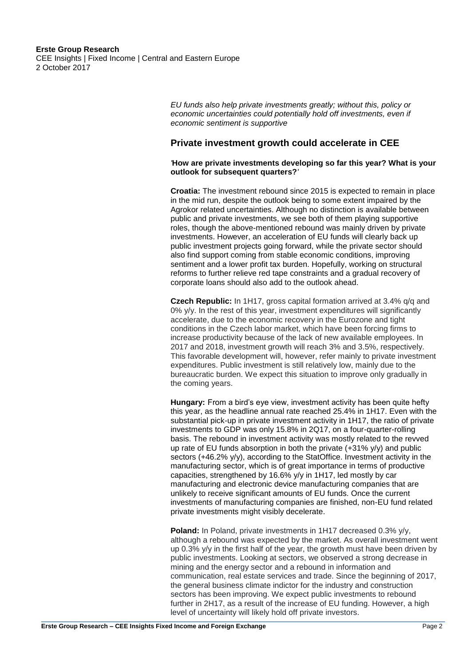#### **Erste Group Research** CEE Insights | Fixed Income | Central and Eastern Europe 2 October 2017

<span id="page-1-0"></span>*EU funds also help private investments greatly; without this, policy or economic uncertainties could potentially hold off investments, even if economic sentiment is supportive*

### **Private investment growth could accelerate in CEE**

#### *'***How are private investments developing so far this year? What is your outlook for subsequent quarters?***'*

**Croatia:** The investment rebound since 2015 is expected to remain in place in the mid run, despite the outlook being to some extent impaired by the Agrokor related uncertainties. Although no distinction is available between public and private investments, we see both of them playing supportive roles, though the above-mentioned rebound was mainly driven by private investments. However, an acceleration of EU funds will clearly back up public investment projects going forward, while the private sector should also find support coming from stable economic conditions, improving sentiment and a lower profit tax burden. Hopefully, working on structural reforms to further relieve red tape constraints and a gradual recovery of corporate loans should also add to the outlook ahead.

**Czech Republic:** In 1H17, gross capital formation arrived at 3.4% q/q and 0% y/y. In the rest of this year, investment expenditures will significantly accelerate, due to the economic recovery in the Eurozone and tight conditions in the Czech labor market, which have been forcing firms to increase productivity because of the lack of new available employees. In 2017 and 2018, investment growth will reach 3% and 3.5%, respectively. This favorable development will, however, refer mainly to private investment expenditures. Public investment is still relatively low, mainly due to the bureaucratic burden. We expect this situation to improve only gradually in the coming years.

**Hungary:** From a bird's eye view, investment activity has been quite hefty this year, as the headline annual rate reached 25.4% in 1H17. Even with the substantial pick-up in private investment activity in 1H17, the ratio of private investments to GDP was only 15.8% in 2Q17, on a four-quarter-rolling basis. The rebound in investment activity was mostly related to the revved up rate of EU funds absorption in both the private (+31% y/y) and public sectors (+46.2% y/y), according to the StatOffice. Investment activity in the manufacturing sector, which is of great importance in terms of productive capacities, strengthened by 16.6% y/y in 1H17, led mostly by car manufacturing and electronic device manufacturing companies that are unlikely to receive significant amounts of EU funds. Once the current investments of manufacturing companies are finished, non-EU fund related private investments might visibly decelerate.

**Poland:** In Poland, private investments in 1H17 decreased 0.3% y/v. although a rebound was expected by the market. As overall investment went up 0.3% y/y in the first half of the year, the growth must have been driven by public investments. Looking at sectors, we observed a strong decrease in mining and the energy sector and a rebound in information and communication, real estate services and trade. Since the beginning of 2017, the general business climate indictor for the industry and construction sectors has been improving. We expect public investments to rebound further in 2H17, as a result of the increase of EU funding. However, a high level of uncertainty will likely hold off private investors.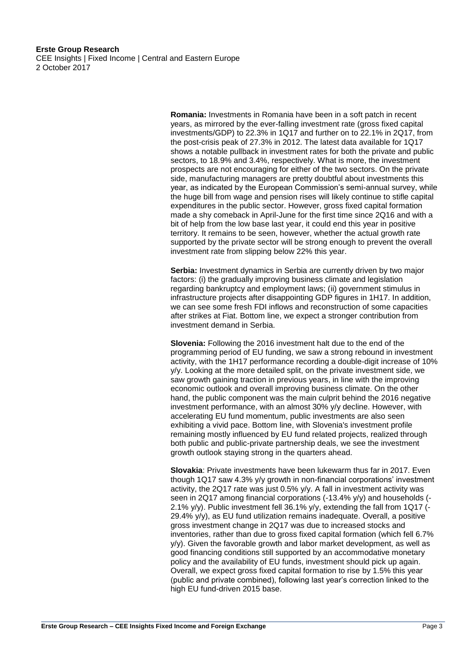CEE Insights | Fixed Income | Central and Eastern Europe 2 October 2017

> **Romania:** Investments in Romania have been in a soft patch in recent years, as mirrored by the ever-falling investment rate (gross fixed capital investments/GDP) to 22.3% in 1Q17 and further on to 22.1% in 2Q17, from the post-crisis peak of 27.3% in 2012. The latest data available for 1Q17 shows a notable pullback in investment rates for both the private and public sectors, to 18.9% and 3.4%, respectively. What is more, the investment prospects are not encouraging for either of the two sectors. On the private side, manufacturing managers are pretty doubtful about investments this year, as indicated by the European Commission's semi-annual survey, while the huge bill from wage and pension rises will likely continue to stifle capital expenditures in the public sector. However, gross fixed capital formation made a shy comeback in April-June for the first time since 2Q16 and with a bit of help from the low base last year, it could end this year in positive territory. It remains to be seen, however, whether the actual growth rate supported by the private sector will be strong enough to prevent the overall investment rate from slipping below 22% this year.

**Serbia:** Investment dynamics in Serbia are currently driven by two major factors: (i) the gradually improving business climate and legislation regarding bankruptcy and employment laws; (ii) government stimulus in infrastructure projects after disappointing GDP figures in 1H17. In addition, we can see some fresh FDI inflows and reconstruction of some capacities after strikes at Fiat. Bottom line, we expect a stronger contribution from investment demand in Serbia.

**Slovenia:** Following the 2016 investment halt due to the end of the programming period of EU funding, we saw a strong rebound in investment activity, with the 1H17 performance recording a double-digit increase of 10% y/y. Looking at the more detailed split, on the private investment side, we saw growth gaining traction in previous years, in line with the improving economic outlook and overall improving business climate. On the other hand, the public component was the main culprit behind the 2016 negative investment performance, with an almost 30% y/y decline. However, with accelerating EU fund momentum, public investments are also seen exhibiting a vivid pace. Bottom line, with Slovenia's investment profile remaining mostly influenced by EU fund related projects, realized through both public and public-private partnership deals, we see the investment growth outlook staying strong in the quarters ahead.

**Slovakia**: Private investments have been lukewarm thus far in 2017. Even though 1Q17 saw 4.3% y/y growth in non-financial corporations' investment activity, the 2Q17 rate was just 0.5% y/y. A fall in investment activity was seen in 2Q17 among financial corporations (-13.4% y/y) and households (-2.1% y/y). Public investment fell 36.1% y/y, extending the fall from 1Q17 (- 29.4% y/y), as EU fund utilization remains inadequate. Overall, a positive gross investment change in 2Q17 was due to increased stocks and inventories, rather than due to gross fixed capital formation (which fell 6.7% y/y). Given the favorable growth and labor market development, as well as good financing conditions still supported by an accommodative monetary policy and the availability of EU funds, investment should pick up again. Overall, we expect gross fixed capital formation to rise by 1.5% this year (public and private combined), following last year's correction linked to the high EU fund-driven 2015 base.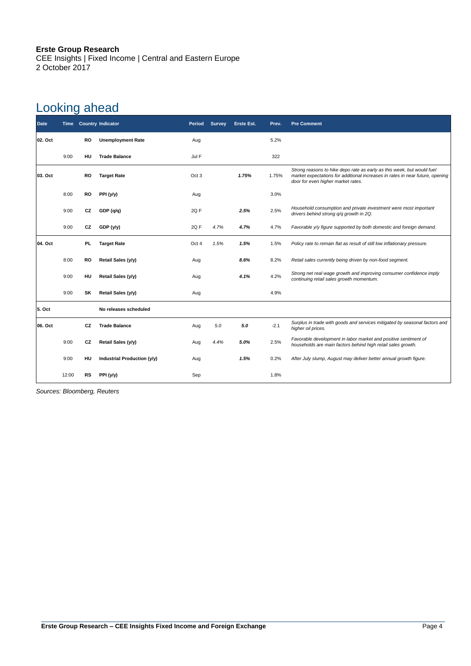CEE Insights | Fixed Income | Central and Eastern Europe 2 October 2017

## Looking ahead

| <b>Date</b> | <b>Time</b> |           | <b>Country Indicator</b>    | Period           | <b>Survey</b> | <b>Erste Est.</b> | Prev.  | <b>Pre Comment</b>                                                                                                                                                                            |
|-------------|-------------|-----------|-----------------------------|------------------|---------------|-------------------|--------|-----------------------------------------------------------------------------------------------------------------------------------------------------------------------------------------------|
| 02. Oct     |             | <b>RO</b> | <b>Unemployment Rate</b>    | Aug              |               |                   | 5.2%   |                                                                                                                                                                                               |
|             | 9:00        | HU        | <b>Trade Balance</b>        | Jul F            |               |                   | 322    |                                                                                                                                                                                               |
| 03. Oct     |             | RO        | <b>Target Rate</b>          | Oct <sub>3</sub> |               | 1.75%             | 1.75%  | Strong reasons to hike depo rate as early as this week, but would fuel<br>market expectations for additional increases in rates in near future, opening<br>door for even higher market rates. |
|             | 8:00        | RO        | PPI (y/y)                   | Aug              |               |                   | 3.0%   |                                                                                                                                                                                               |
|             | 9:00        | CZ        | GDP(q/q)                    | 2Q F             |               | 2.5%              | 2.5%   | Household consumption and private investment were most important<br>drivers behind strong q/q growth in 2Q.                                                                                   |
|             | 9:00        | CZ        | GDP (y/y)                   | 2QF              | 4.7%          | 4.7%              | 4.7%   | Favorable y/y figure supported by both domestic and foreign demand.                                                                                                                           |
| 04. Oct     |             | PL.       | <b>Target Rate</b>          | Oct 4            | 1.5%          | 1.5%              | 1.5%   | Policy rate to remain flat as result of still low inflationary pressure.                                                                                                                      |
|             | 8:00        | <b>RO</b> | Retail Sales (y/y)          | Aug              |               | 8.6%              | 8.2%   | Retail sales currently being driven by non-food segment.                                                                                                                                      |
|             | 9:00        | HU        | Retail Sales (y/y)          | Aug              |               | 4.1%              | 4.2%   | Strong net real wage growth and improving consumer confidence imply<br>continuing retail sales growth momentum.                                                                               |
|             | 9:00        | SK        | Retail Sales (y/y)          | Aug              |               |                   | 4.9%   |                                                                                                                                                                                               |
| 5. Oct      |             |           | No releases scheduled       |                  |               |                   |        |                                                                                                                                                                                               |
| 06. Oct     |             | CZ        | <b>Trade Balance</b>        | Aug              | 5.0           | 5.0               | $-2.1$ | Surplus in trade with goods and services mitigated by seasonal factors and<br>higher oil prices.                                                                                              |
|             | 9:00        | CZ        | Retail Sales (y/y)          | Aug              | 4.4%          | 5.0%              | 2.5%   | Favorable development in labor market and positive sentiment of<br>households are main factors behind high retail sales growth.                                                               |
|             | 9:00        | HU        | Industrial Production (y/y) | Aug              |               | 1.5%              | 0.2%   | After July slump, August may deliver better annual growth figure.                                                                                                                             |
|             | 12:00       | RS        | PPI (y/y)                   | Sep              |               |                   | 1.8%   |                                                                                                                                                                                               |

*Sources: Bloomberg, Reuters*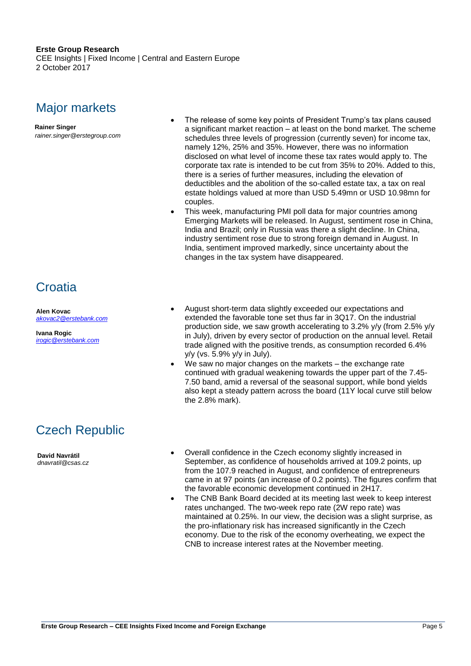CEE Insights | Fixed Income | Central and Eastern Europe 2 October 2017

### Major markets

**Rainer Singer**

*rainer.singer@erstegroup.com*

- The release of some key points of President Trump's tax plans caused a significant market reaction – at least on the bond market. The scheme schedules three levels of progression (currently seven) for income tax, namely 12%, 25% and 35%. However, there was no information disclosed on what level of income these tax rates would apply to. The corporate tax rate is intended to be cut from 35% to 20%. Added to this, there is a series of further measures, including the elevation of deductibles and the abolition of the so-called estate tax, a tax on real estate holdings valued at more than USD 5.49mn or USD 10.98mn for couples.
- This week, manufacturing PMI poll data for major countries among Emerging Markets will be released. In August, sentiment rose in China, India and Brazil; only in Russia was there a slight decline. In China, industry sentiment rose due to strong foreign demand in August. In India, sentiment improved markedly, since uncertainty about the changes in the tax system have disappeared.

### <span id="page-4-0"></span>**Croatia**

**Alen Kovac** *[akovac2@erstebank.com](mailto:akovac2@erstebank.com)*

**Ivana Rogic** *[irogic@erstebank.com](mailto:irogic@erstebank.com)*

- August short-term data slightly exceeded our expectations and extended the favorable tone set thus far in 3Q17. On the industrial production side, we saw growth accelerating to 3.2% y/y (from 2.5% y/y in July), driven by every sector of production on the annual level. Retail trade aligned with the positive trends, as consumption recorded 6.4% y/y (vs. 5.9% y/y in July).
- We saw no major changes on the markets the exchange rate continued with gradual weakening towards the upper part of the 7.45- 7.50 band, amid a reversal of the seasonal support, while bond yields also kept a steady pattern across the board (11Y local curve still below the 2.8% mark).

## Czech Republic

**David Navrátil** *dnavratil@csas.cz*

- <span id="page-4-1"></span> Overall confidence in the Czech economy slightly increased in September, as confidence of households arrived at 109.2 points, up from the 107.9 reached in August, and confidence of entrepreneurs came in at 97 points (an increase of 0.2 points). The figures confirm that the favorable economic development continued in 2H17.
- The CNB Bank Board decided at its meeting last week to keep interest rates unchanged. The two-week repo rate (2W repo rate) was maintained at 0.25%. In our view, the decision was a slight surprise, as the pro-inflationary risk has increased significantly in the Czech economy. Due to the risk of the economy overheating, we expect the CNB to increase interest rates at the November meeting.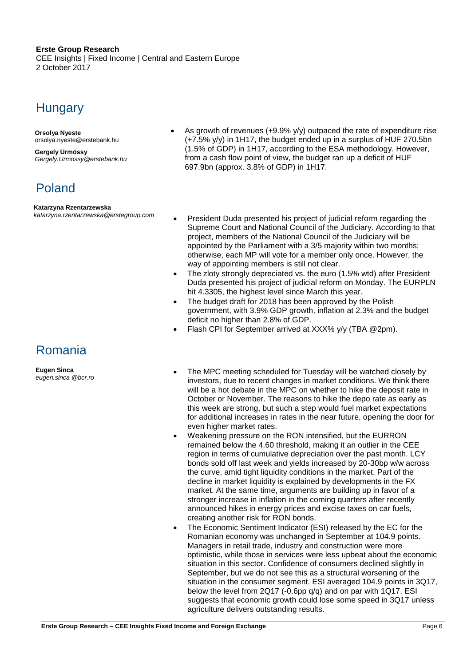CEE Insights | Fixed Income | Central and Eastern Europe 2 October 2017

### **Hungary**

**Orsolya Nyeste** [orsolya.nyeste@erstebank.hu](mailto:orsolya.nyeste@erstebank.hu)

**Gergely Ürmössy** *[Gergely.Urmossy@erstebank.hu](mailto:Gergely.Urmossy@erstebank.hu)*

## Poland

#### <span id="page-5-0"></span>**Katarzyna Rzentarzewska**

*katarzyna.rzentarzewska@erstegroup.com*

## Romania

<span id="page-5-1"></span>**Eugen Sinca** *eugen.sinca @bcr.ro*

- As growth of revenues (+9.9% y/y) outpaced the rate of expenditure rise (+7.5% y/y) in 1H17, the budget ended up in a surplus of HUF 270.5bn (1.5% of GDP) in 1H17, according to the ESA methodology. However, from a cash flow point of view, the budget ran up a deficit of HUF 697.9bn (approx. 3.8% of GDP) in 1H17.
- President Duda presented his project of judicial reform regarding the Supreme Court and National Council of the Judiciary. According to that project, members of the National Council of the Judiciary will be appointed by the Parliament with a 3/5 majority within two months; otherwise, each MP will vote for a member only once. However, the way of appointing members is still not clear.
- The zloty strongly depreciated vs. the euro (1.5% wtd) after President Duda presented his project of judicial reform on Monday. The EURPLN hit 4.3305, the highest level since March this year.
- The budget draft for 2018 has been approved by the Polish government, with 3.9% GDP growth, inflation at 2.3% and the budget deficit no higher than 2.8% of GDP.
- Flash CPI for September arrived at XXX% y/y (TBA @2pm).
- The MPC meeting scheduled for Tuesday will be watched closely by investors, due to recent changes in market conditions. We think there will be a hot debate in the MPC on whether to hike the deposit rate in October or November. The reasons to hike the depo rate as early as this week are strong, but such a step would fuel market expectations for additional increases in rates in the near future, opening the door for even higher market rates.
- Weakening pressure on the RON intensified, but the EURRON remained below the 4.60 threshold, making it an outlier in the CEE region in terms of cumulative depreciation over the past month. LCY bonds sold off last week and yields increased by 20-30bp w/w across the curve, amid tight liquidity conditions in the market. Part of the decline in market liquidity is explained by developments in the FX market. At the same time, arguments are building up in favor of a stronger increase in inflation in the coming quarters after recently announced hikes in energy prices and excise taxes on car fuels, creating another risk for RON bonds.
- The Economic Sentiment Indicator (ESI) released by the EC for the Romanian economy was unchanged in September at 104.9 points. Managers in retail trade, industry and construction were more optimistic, while those in services were less upbeat about the economic situation in this sector. Confidence of consumers declined slightly in September, but we do not see this as a structural worsening of the situation in the consumer segment. ESI averaged 104.9 points in 3Q17, below the level from 2Q17 (-0.6pp q/q) and on par with 1Q17. ESI suggests that economic growth could lose some speed in 3Q17 unless agriculture delivers outstanding results.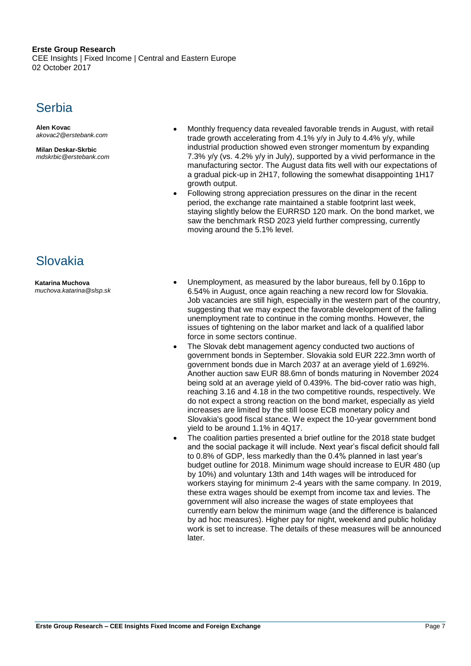CEE Insights | Fixed Income | Central and Eastern Europe 02 October 2017

### **Serbia**

**Alen Kovac** *[akovac2@erstebank.com](mailto:akovac2@erstebank.com)*

**Milan Deskar-Skrbic** *[mdskrbic@erstebank.com](mailto:irogic@erstebank.com)*

## Slovakia

**Katarina Muchova** *muchova.katarina@slsp.sk*

- Monthly frequency data revealed favorable trends in August, with retail trade growth accelerating from 4.1% y/y in July to 4.4% y/y, while industrial production showed even stronger momentum by expanding 7.3% y/y (vs. 4.2% y/y in July), supported by a vivid performance in the manufacturing sector. The August data fits well with our expectations of a gradual pick-up in 2H17, following the somewhat disappointing 1H17 growth output.
- Following strong appreciation pressures on the dinar in the recent period, the exchange rate maintained a stable footprint last week, staying slightly below the EURRSD 120 mark. On the bond market, we saw the benchmark RSD 2023 yield further compressing, currently moving around the 5.1% level.
- <span id="page-6-0"></span> Unemployment, as measured by the labor bureaus, fell by 0.16pp to 6.54% in August, once again reaching a new record low for Slovakia. Job vacancies are still high, especially in the western part of the country, suggesting that we may expect the favorable development of the falling unemployment rate to continue in the coming months. However, the issues of tightening on the labor market and lack of a qualified labor force in some sectors continue.
- The Slovak debt management agency conducted two auctions of government bonds in September. Slovakia sold EUR 222.3mn worth of government bonds due in March 2037 at an average yield of 1.692%. Another auction saw EUR 88.6mn of bonds maturing in November 2024 being sold at an average yield of 0.439%. The bid-cover ratio was high, reaching 3.16 and 4.18 in the two competitive rounds, respectively. We do not expect a strong reaction on the bond market, especially as yield increases are limited by the still loose ECB monetary policy and Slovakia's good fiscal stance. We expect the 10-year government bond yield to be around 1.1% in 4Q17.
- The coalition parties presented a brief outline for the 2018 state budget and the social package it will include. Next year's fiscal deficit should fall to 0.8% of GDP, less markedly than the 0.4% planned in last year's budget outline for 2018. Minimum wage should increase to EUR 480 (up by 10%) and voluntary 13th and 14th wages will be introduced for workers staying for minimum 2-4 years with the same company. In 2019, these extra wages should be exempt from income tax and levies. The government will also increase the wages of state employees that currently earn below the minimum wage (and the difference is balanced by ad hoc measures). Higher pay for night, weekend and public holiday work is set to increase. The details of these measures will be announced later.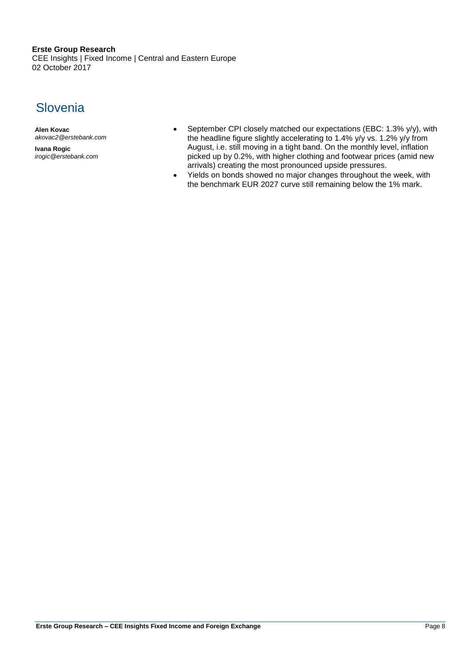CEE Insights | Fixed Income | Central and Eastern Europe 02 October 2017

### **Slovenia**

**Alen Kovac** *akovac2@erstebank.com*

**Ivana Rogic** *irogic@erstebank.com*

- September CPI closely matched our expectations (EBC: 1.3% y/y), with the headline figure slightly accelerating to 1.4% y/y vs. 1.2% y/y from August, i.e. still moving in a tight band. On the monthly level, inflation picked up by 0.2%, with higher clothing and footwear prices (amid new arrivals) creating the most pronounced upside pressures.
- Yields on bonds showed no major changes throughout the week, with the benchmark EUR 2027 curve still remaining below the 1% mark.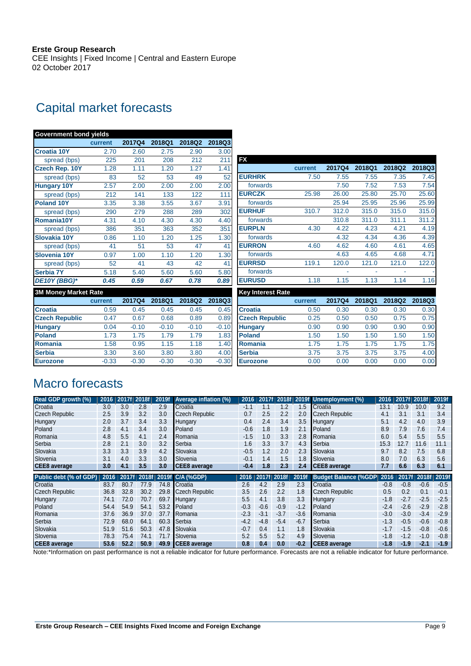CEE Insights | Fixed Income | Central and Eastern Europe 02 October 2017

## Capital market forecasts

| <b>Government bond yields</b> |         |         |         |         |         |                          |         |                          |                          |        |        |
|-------------------------------|---------|---------|---------|---------|---------|--------------------------|---------|--------------------------|--------------------------|--------|--------|
|                               | current | 2017Q4  | 2018Q1  | 2018Q2  | 2018Q3  |                          |         |                          |                          |        |        |
| <b>Croatia 10Y</b>            | 2.70    | 2.60    | 2.75    | 2.90    | 3.00    |                          |         |                          |                          |        |        |
| spread (bps)                  | 225     | 201     | 208     | 212     | 211     | <b>FX</b>                |         |                          |                          |        |        |
| <b>Czech Rep. 10Y</b>         | 1.28    | 1.11    | 1.20    | 1.27    | 1.41    |                          | current | 2017Q4                   | 2018Q1                   | 2018Q2 | 2018Q3 |
| spread (bps)                  | 83      | 52      | 53      | 49      | 52      | <b>EURHRK</b>            | 7.50    | 7.55                     | 7.55                     | 7.35   | 7.45   |
| <b>Hungary 10Y</b>            | 2.57    | 2.00    | 2.00    | 2.00    | 2.00    | forwards                 |         | 7.50                     | 7.52                     | 7.53   | 7.54   |
| spread (bps)                  | 212     | 141     | 133     | 122     | 111     | <b>EURCZK</b>            | 25.98   | 26.00                    | 25.80                    | 25.70  | 25.60  |
| <b>Poland 10Y</b>             | 3.35    | 3.38    | 3.55    | 3.67    | 3.91    | forwards                 |         | 25.94                    | 25.95                    | 25.96  | 25.99  |
| spread (bps)                  | 290     | 279     | 288     | 289     | 302     | <b>EURHUF</b>            | 310.7   | 312.0                    | 315.0                    | 315.0  | 315.0  |
| Romania10Y                    | 4.31    | 4.10    | 4.30    | 4.30    | 4.40    | forwards                 |         | 310.8                    | 311.0                    | 311.1  | 311.2  |
| spread (bps)                  | 386     | 351     | 363     | 352     | 351     | <b>EURPLN</b>            | 4.30    | 4.22                     | 4.23                     | 4.21   | 4.19   |
| Slovakia 10Y                  | 0.86    | 1.10    | 1.20    | 1.25    | 1.30    | forwards                 |         | 4.32                     | 4.34                     | 4.36   | 4.39   |
| spread (bps)                  | 41      | 51      | 53      | 47      | 41      | <b>EURRON</b>            | 4.60    | 4.62                     | 4.60                     | 4.61   | 4.65   |
| Slovenia 10Y                  | 0.97    | 1.00    | 1.10    | 1.20    | 1.30    | forwards                 |         | 4.63                     | 4.65                     | 4.68   | 4.71   |
| spread (bps)                  | 52      | 41      | 43      | 42      | 41      | <b>EURRSD</b>            | 119.1   | 120.0                    | 121.0                    | 121.0  | 122.0  |
| <b>Serbia 7Y</b>              | 5.18    | 5.40    | 5.60    | 5.60    | 5.80    | forwards                 |         | $\overline{\phantom{a}}$ | $\overline{\phantom{a}}$ |        |        |
| DE10Y (BBG)*                  | 0.45    | 0.59    | 0.67    | 0.78    | 0.89    | <b>EURUSD</b>            | 1.18    | 1.15                     | 1.13                     | 1.14   | 1.16   |
| <b>3M Money Market Rate</b>   |         |         |         |         |         | <b>Key Interest Rate</b> |         |                          |                          |        |        |
|                               | current | 2017Q4  | 2018Q1  | 2018Q2  | 2018Q3  |                          | current | <b>2017Q4</b>            | 2018Q1                   | 2018Q2 | 2018Q3 |
| <b>Croatia</b>                | 0.59    | 0.45    | 0.45    | 0.45    | 0.45    | <b>Croatia</b>           | 0.50    | 0.30                     | 0.30                     | 0.30   | 0.30   |
| <b>Czech Republic</b>         | 0.47    | 0.67    | 0.68    | 0.89    | 0.89    | <b>Czech Republic</b>    | 0.25    | 0.50                     | 0.50                     | 0.75   | 0.75   |
| <b>Hungary</b>                | 0.04    | $-0.10$ | $-0.10$ | $-0.10$ | $-0.10$ | <b>Hungary</b>           | 0.90    | 0.90                     | 0.90                     | 0.90   | 0.90   |
| <b>Poland</b>                 | 1.73    | 1.75    | 1.79    | 1.79    | 1.83    | <b>Poland</b>            | 1.50    | 1.50                     | 1.50                     | 1.50   | 1.50   |
| Romania                       | 1.58    | 0.95    | 1.15    | 1.18    | 1.40    | Romania                  | 1.75    | 1.75                     | 1.75                     | 1.75   | 1.75   |
| <b>Serbia</b>                 | 3.30    | 3.60    | 3.80    | 3.80    | 4.00    | <b>Serbia</b>            | 3.75    | 3.75                     | 3.75                     | 3.75   | 4.00   |
| <b>Eurozone</b>               | $-0.33$ | $-0.30$ | $-0.30$ | $-0.30$ | $-0.30$ | <b>Eurozone</b>          | 0.00    | 0.00                     | 0.00                     | 0.00   | 0.00   |
|                               |         |         |         |         |         |                          |         |                          |                          |        |        |

## Macro forecasts

| Real GDP growth (%)    | 2016 | 2017f 2018f |       | 2019f | <b>Average inflation (%)</b> | 2016   | 2017f  |        |        | 2018f 2019f Unemployment (%) | 2016   |        | 2017f 2018f | 2019f  |
|------------------------|------|-------------|-------|-------|------------------------------|--------|--------|--------|--------|------------------------------|--------|--------|-------------|--------|
| Croatia                | 3.0  | 3.0         | 2.8   | 2.9   | Croatia                      | $-1.1$ | 1.1    | 1.2    | 1.5    | Croatia                      | 13.1   | 10.9   | 10.0        | 9.2    |
| <b>Czech Republic</b>  | 2.5  | 3.9         | 3.2   | 3.0   | Czech Republic               | 0.7    | 2.5    | 2.2    | 2.0    | Czech Republic               | 4.1    | 3.1    | 3.1         | 3.4    |
| Hungary                | 2.0  | 3.7         | 3.4   | 3.3   | Hungary                      | 0.4    | 2.4    | 3.4    | 3.5    | Hungary                      | 5.1    | 4.2    | 4.0         | 3.9    |
| Poland                 | 2.8  | 4.1         | 3.4   | 3.0   | Poland                       | $-0.6$ | 1.8    | 1.9    | 2.1    | Poland                       | 8.9    | 7.9    | 7.6         | 7.4    |
| Romania                | 4.8  | 5.5         | 4.1   | 2.4   | Romania                      | $-1.5$ | 1.0    | 3.3    | 2.8    | Romania                      | 6.0    | 5.4    | 5.5         | 5.5    |
| Serbia                 | 2.8  | 2.1         | 3.0   | 3.2   | Serbia                       | 1.6    | 3.3    | 3.7    | 4.3    | Serbia                       | 15.3   | 12.7   | 11.6        | 11.1   |
| Slovakia               | 3.3  | 3.3         | 3.9   | 4.2   | Slovakia                     | $-0.5$ | 1.2    | 2.0    | 2.3    | Slovakia                     | 9.7    | 8.2    | 7.5         | 6.8    |
| Slovenia               | 3.1  | 4.0         | 3.3   | 3.0   | Slovenia                     | -0.1   | 1.4    | 1.5    | 1.8    | Slovenia                     | 8.0    | 7.0    | 6.3         | 5.6    |
| <b>CEE8</b> average    | 3.0  | 4.1         | 3.5   | 3.0   | <b>CEE8</b> average          | -0.4   | 1.8    | 2.3    | 2.4    | <b>CEE8</b> average          | 7.7    | 6.6    | 6.3         | 6.1    |
|                        |      |             |       |       |                              |        |        |        |        |                              |        |        |             |        |
| Public debt (% of GDP) | 2016 | 2017f       | 2018f |       | 2019f C/A (%GDP)             | 2016   | 2017f  | 2018f  | 2019f  | <b>Budget Balance (%GDP</b>  | 2016   | 2017f  | 2018f       | 2019f  |
| Croatia                | 83.7 | 80.7        | 77.9  | 74.8  | Croatia                      | 2.6    | 4.2    | 2.9    | 2.3    | Croatia                      | $-0.8$ | $-0.8$ | $-0.6$      | $-0.5$ |
| <b>Czech Republic</b>  | 36.8 | 32.8        | 30.2  | 29.8  | <b>Czech Republic</b>        | 3.5    | 2.6    | 2.2    | 1.8    | <b>Czech Republic</b>        | 0.5    | 0.2    | 0.1         | $-0.1$ |
| Hungary                | 74.1 | 72.0        | 70.7  | 69.7  | Hungary                      | 5.5    | 4.1    | 3.8    | 3.3    | Hungary                      | $-1.8$ | -2.7   | $-2.5$      | $-2.5$ |
| Poland                 | 54.4 | 54.9        | 54.1  | 53.2  | Poland                       | $-0.3$ | $-0.6$ | $-0.9$ | $-1.2$ | Poland                       | $-2.4$ | $-2.6$ | $-2.9$      | $-2.8$ |
| Romania                | 37.6 | 36.9        | 37.0  | 37.7  | Romania                      | $-2.3$ | $-3.1$ | $-3.7$ | $-3.6$ | Romania                      | $-3.0$ | $-3.0$ | $-3.4$      | $-2.9$ |
| Serbia                 | 72.9 | 68.0        | 64.1  | 60.3  | Serbia                       | $-4.2$ | $-4.8$ | $-5.4$ | $-6.7$ | Serbia                       | $-1.3$ | $-0.5$ | $-0.6$      | $-0.8$ |
| Slovakia               | 51.9 | 51.6        | 50.3  | 47.8  | Slovakia                     | $-0.7$ | 0.4    | 1.1    | 1.8    | Slovakia                     | $-1.7$ | $-1.5$ | $-0.8$      | $-0.6$ |
| Slovenia               | 78.3 | 75.4        | 74.1  | 71.7  | Slovenia                     | 5.2    | 5.5    | 5.2    | 4.9    | Slovenia                     | $-1.8$ | $-1.2$ | $-1.0$      | $-0.8$ |

Note:\*Information on past performance is not a reliable indicator for future performance. Forecasts are not a reliable indicator for future performance.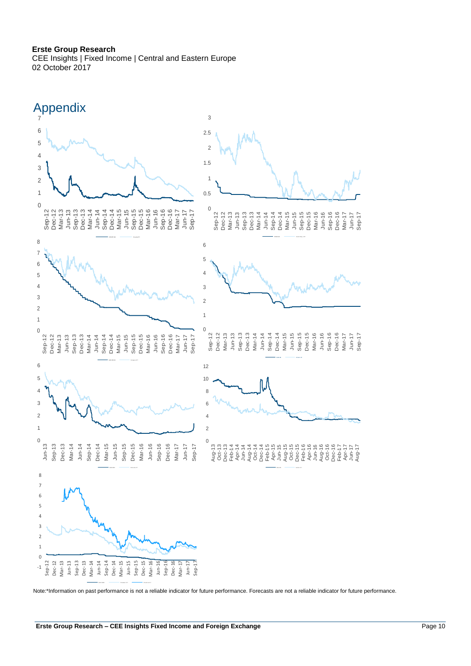CEE Insights | Fixed Income | Central and Eastern Europe 02 October 2017



Note:\*Information on past performance is not a reliable indicator for future performance. Forecasts are not a reliable indicator for future performance.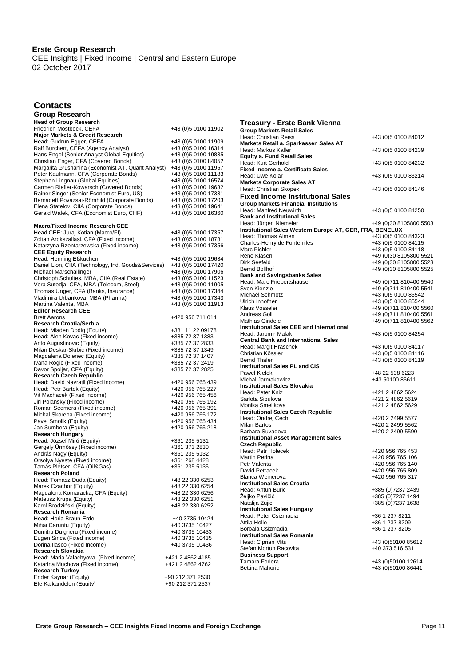CEE Insights | Fixed Income | Central and Eastern Europe 02 October 2017

### **Contacts**

| Group Research                                                                         |                                            |
|----------------------------------------------------------------------------------------|--------------------------------------------|
| <b>Head of Group Research</b>                                                          |                                            |
| Friedrich Mostböck, CEFA                                                               | +43 (0)5 0100 11902                        |
| <b>Major Markets &amp; Credit Research</b>                                             |                                            |
| Head: Gudrun Egger, CEFA                                                               | +43 (0)5 0100 11909                        |
| Ralf Burchert, CEFA (Agency Analyst)                                                   | +43 (0)5 0100 16314                        |
| Hans Engel (Senior Analyst Global Equities)                                            | +43 (0)5 0100 19835                        |
| Christian Enger, CFA (Covered Bonds)                                                   | +43 (0)5 0100 84052                        |
| Margarita Grushanina (Economist AT, Quant Analyst)                                     | +43 (0)5 0100 11957                        |
| Peter Kaufmann, CFA (Corporate Bonds)                                                  | +43 (0)5 0100 11183                        |
| Stephan Lingnau (Global Equities)                                                      | +43 (0)5 0100 16574                        |
| Carmen Riefler-Kowarsch (Covered Bonds)                                                | +43 (0)5 0100 19632                        |
| Rainer Singer (Senior Economist Euro, US)                                              | +43 (0)5 0100 17331<br>+43 (0)5 0100 17203 |
| Bernadett Povazsai-Römhild (Corporate Bonds)<br>Elena Statelov, CIIA (Corporate Bonds) | +43 (0)5 0100 19641                        |
| Gerald Walek, CFA (Economist Euro, CHF)                                                | +43 (0)5 0100 16360                        |
|                                                                                        |                                            |
| <b>Macro/Fixed Income Research CEE</b>                                                 |                                            |
| Head CEE: Juraj Kotian (Macro/FI)                                                      | +43 (0)5 0100 17357                        |
| Zoltan Arokszallasi, CFA (Fixed income)                                                | +43 (0)5 0100 18781                        |
| Katarzyna Rzentarzewska (Fixed income)                                                 | +43 (0)5 0100 17356                        |
| <b>CEE Equity Research</b>                                                             |                                            |
| Head: Henning Eßkuchen                                                                 | +43 (0)5 0100 19634                        |
| Daniel Lion, CIIA (Technology, Ind. Goods&Services)                                    | +43 (0)5 0100 17420                        |
| Michael Marschallinger                                                                 | +43 (0)5 0100 17906                        |
| Christoph Schultes, MBA, CIIA (Real Estate)                                            | +43 (0)5 0100 11523                        |
| Vera Sutedja, CFA, MBA (Telecom, Steel)                                                | +43 (0)5 0100 11905                        |
| Thomas Unger, CFA (Banks, Insurance)                                                   | +43 (0)5 0100 17344                        |
| Vladimira Urbankova, MBA (Pharma)                                                      | +43 (0)5 0100 17343                        |
| Martina Valenta, MBA                                                                   | +43 (0)5 0100 11913                        |
| <b>Editor Research CEE</b><br><b>Brett Aarons</b>                                      | +420 956 711 014                           |
| Research Croatia/Serbia                                                                |                                            |
| Head: Mladen Dodig (Equity)                                                            | +381 11 22 09178                           |
| Head: Alen Kovac (Fixed income)                                                        | +385 72 37 1383                            |
| Anto Augustinovic (Equity)                                                             | +385 72 37 2833                            |
| Milan Deskar-Skrbic (Fixed income)                                                     | +385 72 37 1349                            |
| Magdalena Dolenec (Equity)                                                             | +385 72 37 1407                            |
| Ivana Rogic (Fixed income)                                                             | +385 72 37 2419                            |
| Davor Spoljar, CFA (Equity)                                                            | +385 72 37 2825                            |
| Research Czech Republic                                                                |                                            |
| Head: David Navratil (Fixed income)                                                    | +420 956 765 439                           |
| Head: Petr Bartek (Equity)                                                             | +420 956 765 227                           |
| Vit Machacek (Fixed income)                                                            | +420 956 765 456                           |
| Jiri Polansky (Fixed income)                                                           | +420 956 765 192                           |
| Roman Sedmera (Fixed income)                                                           | +420 956 765 391                           |
| Michal Skorepa (Fixed income)                                                          | +420 956 765 172                           |
| Pavel Smolik (Equity)                                                                  | +420 956 765 434                           |
| Jan Sumbera (Equity)                                                                   | +420 956 765 218                           |
| Research Hungary                                                                       |                                            |
| Head: József Miró (Equity)                                                             | +361 235 5131                              |
| Gergely Urmössy (Fixed income)                                                         | +361 373 2830<br>+361 235 5132             |
| András Nagy (Equity)<br>Orsolya Nyeste (Fixed income)                                  | +361 268 4428                              |
| Tamás Pletser, CFA (Oil&Gas)                                                           | +361 235 5135                              |
| Research Poland                                                                        |                                            |
| Head: Tomasz Duda (Equity)                                                             | +48 22 330 6253                            |
| Marek Czachor (Equity)                                                                 | +48 22 330 6254                            |
| Magdalena Komaracka, CFA (Equity)                                                      | +48 22 330 6256                            |
| Mateusz Krupa (Equity)                                                                 | +48 22 330 6251                            |
| Karol Brodziński (Equity)                                                              | +48 22 330 6252                            |
| <b>Research Romania</b>                                                                |                                            |
| Head: Horia Braun-Erdei                                                                | +40 3735 10424                             |
| Mihai Caruntu (Equity)                                                                 | +40 3735 10427                             |
| Dumitru Dulgheru (Fixed income)                                                        | +40 3735 10433                             |
| Eugen Sinca (Fixed income)                                                             | +40 3735 10435                             |
| Dorina Ilasco (Fixed Income)                                                           | +40 3735 10436                             |
| Research Slovakia                                                                      |                                            |
| Head: Maria Valachyova, (Fixed income)                                                 | +421 2 4862 4185                           |
| Katarina Muchova (Fixed income)                                                        | +421 2 4862 4762                           |
| <b>Research Turkey</b><br>Ender Kaynar (Equity)                                        | +90 212 371 2530                           |
| Efe Kalkandelen (Equity)                                                               | +90 212 371 2537                           |
|                                                                                        |                                            |

| <b>Treasury - Erste Bank Vienna</b>                                        |                                      |
|----------------------------------------------------------------------------|--------------------------------------|
| <b>Group Markets Retail Sales</b>                                          |                                      |
| Head: Christian Reiss                                                      | +43 (0)5 0100 84012                  |
| Markets Retail a. Sparkassen Sales AT                                      |                                      |
| Head: Markus Kaller<br><b>Equity a. Fund Retail Sales</b>                  | +43 (0)5 0100 84239                  |
| Head: Kurt Gerhold                                                         | +43 (0)5 0100 84232                  |
| <b>Fixed Income a. Certificate Sales</b>                                   |                                      |
| Head: Uwe Kolar                                                            | +43 (0)5 0100 83214                  |
| <b>Markets Corporate Sales AT</b>                                          |                                      |
| Head: Christian Skopek                                                     | +43 (0)5 0100 84146                  |
| <b>Fixed Income Institutional Sales</b>                                    |                                      |
| <b>Group Markets Financial Institutions</b>                                |                                      |
| Head: Manfred Neuwirth                                                     | +43 (0)5 0100 84250                  |
| <b>Bank and Institutional Sales</b><br>Head: Jürgen Niemeier               |                                      |
| Institutional Sales Western Europe AT, GER, FRA, BENELUX                   | +49 (0)30 8105800 5503               |
| Head: Thomas Almen                                                         | +43 (0)5 0100 84323                  |
| Charles-Henry de Fontenilles                                               | +43 (0)5 0100 84115                  |
| Marc Pichler                                                               | +43 (0)5 0100 84118                  |
| Rene Klasen                                                                | +49 (0)30 8105800 5521               |
| Dirk Seefeld                                                               | +49 (0)30 8105800 5523               |
| <b>Bernd Bollhof</b>                                                       | +49 (0)30 8105800 5525               |
| <b>Bank and Savingsbanks Sales</b><br>Head: Marc Friebertshäuser           | +49 (0) 711 810400 5540              |
| Sven Kienzle                                                               | +49 (0) 711 810400 5541              |
| Michael Schmotz                                                            | +43 (0)5 0100 85542                  |
| Ulrich Inhofner                                                            | +43 (0)5 0100 85544                  |
| Klaus Vosseler                                                             | +49 (0) 711 810400 5560              |
| Andreas Goll                                                               | +49 (0) 711 810400 5561              |
| <b>Mathias Gindele</b><br><b>Institutional Sales CEE and International</b> | +49 (0) 711 810400 5562              |
| Head: Jaromir Malak                                                        | +43 (0)5 0100 84254                  |
| <b>Central Bank and International Sales</b>                                |                                      |
| Head: Margit Hraschek                                                      | +43 (0)5 0100 84117                  |
| Christian Kössler                                                          | +43 (0) 5 0100 84116                 |
| Bernd Thaler                                                               | +43 (0)5 0100 84119                  |
| <b>Institutional Sales PL and CIS</b>                                      |                                      |
| <b>Pawel Kielek</b><br>Michal Jarmakowicz                                  | +48 22 538 6223                      |
| <b>Institutional Sales Slovakia</b>                                        | +43 50100 85611                      |
| Head: Peter Kniz                                                           | +421 2 4862 5624                     |
| Sarlota Sipulova                                                           | +421 2 4862 5619                     |
| Monika Smelikova                                                           | +421 2 4862 5629                     |
| <b>Institutional Sales Czech Republic</b>                                  |                                      |
| Head: Ondrej Cech                                                          | +420 2 2499 5577                     |
| <b>Milan Bartos</b><br>Barbara Suvadova                                    | +420 2 2499 5562<br>+420 2 2499 5590 |
| <b>Institutional Asset Management Sales</b>                                |                                      |
| <b>Czech Republic</b>                                                      |                                      |
| Head: Petr Holecek                                                         | +420 956 765 453                     |
| Martin Perina                                                              | +420 956 765 106                     |
| Petr Valenta                                                               | +420 956 765 140                     |
| David Petracek                                                             | +420 956 765 809                     |
| <b>Blanca Weinerova</b><br><b>Institutional Sales Croatia</b>              | +420 956 765 317                     |
| Head: Antun Buric                                                          | +385 (0) 7237 2439                   |
| Željko Pavičić                                                             | +385 (0)7237 1494                    |
| Natalija Zujic                                                             | +385 (0) 7237 1638                   |
| <b>Institutional Sales Hungary</b>                                         |                                      |
| Head: Peter Csizmadia                                                      | +36 1 237 8211                       |
| Attila Hollo                                                               | +36 1 237 8209                       |
| Borbala Csizmadia                                                          | +36 1 237 8205                       |
| <b>Institutional Sales Romania</b><br>Head: Ciprian Mitu                   | +43 (0)50100 85612                   |
| Stefan Mortun Racovita                                                     | +40 373 516 531                      |
| <b>Business Support</b>                                                    |                                      |
| Tamara Fodera                                                              | +43 (0)50100 12614                   |
| <b>Bettina Mahoric</b>                                                     | +43 (0)50100 86441                   |
|                                                                            |                                      |